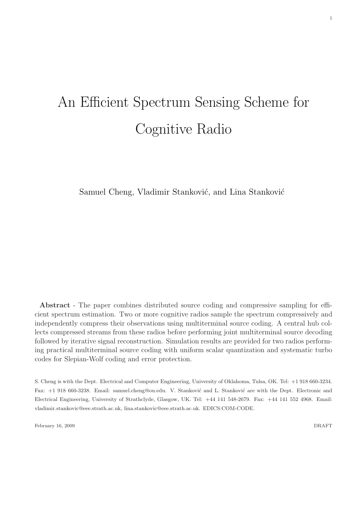# An Efficient Spectrum Sensing Scheme for Cognitive Radio

Samuel Cheng, Vladimir Stanković, and Lina Stanković

Abstract - The paper combines distributed source coding and compressive sampling for efficient spectrum estimation. Two or more cognitive radios sample the spectrum compressively and independently compress their observations using multiterminal source coding. A central hub collects compressed streams from these radios before performing joint multiterminal source decoding followed by iterative signal reconstruction. Simulation results are provided for two radios performing practical multiterminal source coding with uniform scalar quantization and systematic turbo codes for Slepian-Wolf coding and error protection.

S. Cheng is with the Dept. Electrical and Computer Engineering, University of Oklahoma, Tulsa, OK. Tel: +1 918 660-3234. Fax: +1 918 660-3238. Email: samuel.cheng@ou.edu. V. Stanković and L. Stanković are with the Dept. Electronic and Electrical Engineering, University of Strathclyde, Glasgow, UK. Tel: +44 141 548-2679. Fax: +44 141 552 4968. Email: vladimir.stankovic@eee.strath.ac.uk, lina.stankovic@eee.strath.ac.uk. EDICS:COM-CODE.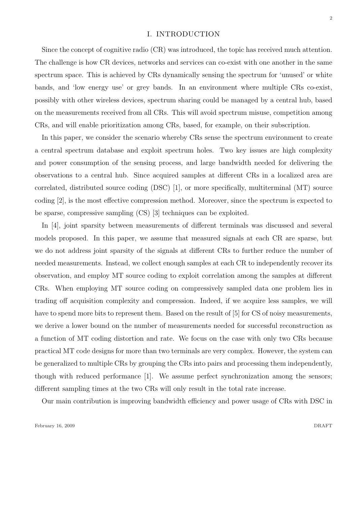#### I. INTRODUCTION

Since the concept of cognitive radio (CR) was introduced, the topic has received much attention. The challenge is how CR devices, networks and services can co-exist with one another in the same spectrum space. This is achieved by CRs dynamically sensing the spectrum for 'unused' or white bands, and 'low energy use' or grey bands. In an environment where multiple CRs co-exist, possibly with other wireless devices, spectrum sharing could be managed by a central hub, based on the measurements received from all CRs. This will avoid spectrum misuse, competition among CRs, and will enable prioritization among CRs, based, for example, on their subscription.

In this paper, we consider the scenario whereby CRs sense the spectrum environment to create a central spectrum database and exploit spectrum holes. Two key issues are high complexity and power consumption of the sensing process, and large bandwidth needed for delivering the observations to a central hub. Since acquired samples at different CRs in a localized area are correlated, distributed source coding (DSC) [1], or more specifically, multiterminal (MT) source coding [2], is the most effective compression method. Moreover, since the spectrum is expected to be sparse, compressive sampling (CS) [3] techniques can be exploited.

In [4], joint sparsity between measurements of different terminals was discussed and several models proposed. In this paper, we assume that measured signals at each CR are sparse, but we do not address joint sparsity of the signals at different CRs to further reduce the number of needed measurements. Instead, we collect enough samples at each CR to independently recover its observation, and employ MT source coding to exploit correlation among the samples at different CRs. When employing MT source coding on compressively sampled data one problem lies in trading off acquisition complexity and compression. Indeed, if we acquire less samples, we will have to spend more bits to represent them. Based on the result of [5] for CS of noisy measurements, we derive a lower bound on the number of measurements needed for successful reconstruction as a function of MT coding distortion and rate. We focus on the case with only two CRs because practical MT code designs for more than two terminals are very complex. However, the system can be generalized to multiple CRs by grouping the CRs into pairs and processing them independently, though with reduced performance [1]. We assume perfect synchronization among the sensors; different sampling times at the two CRs will only result in the total rate increase.

Our main contribution is improving bandwidth efficiency and power usage of CRs with DSC in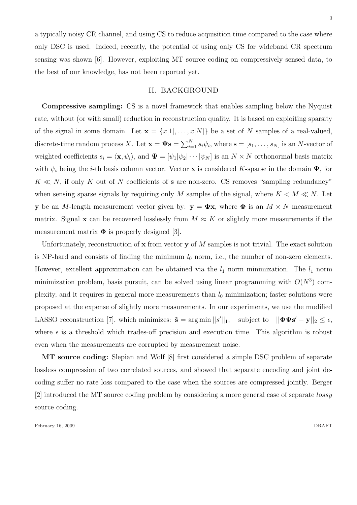a typically noisy CR channel, and using CS to reduce acquisition time compared to the case where only DSC is used. Indeed, recently, the potential of using only CS for wideband CR spectrum sensing was shown [6]. However, exploiting MT source coding on compressively sensed data, to the best of our knowledge, has not been reported yet.

## II. BACKGROUND

Compressive sampling: CS is a novel framework that enables sampling below the Nyquist rate, without (or with small) reduction in reconstruction quality. It is based on exploiting sparsity of the signal in some domain. Let  $\mathbf{x} = \{x[1], \ldots, x[N]\}$  be a set of N samples of a real-valued, discrete-time random process X. Let  $\mathbf{x} = \mathbf{\Psi} \mathbf{s} = \sum_{i=1}^{N}$  $\sum_{i=1}^{N} s_i \psi_i$ , where  $\mathbf{s} = [s_1, \dots, s_N]$  is an N-vector of weighted coefficients  $s_i = \langle \mathbf{x}, \psi_i \rangle$ , and  $\Psi = [\psi_1 | \psi_2 | \cdots | \psi_N]$  is an  $N \times N$  orthonormal basis matrix with  $\psi_i$  being the *i*-th basis column vector. Vector **x** is considered K-sparse in the domain  $\Psi$ , for  $K \ll N$ , if only K out of N coefficients of **s** are non-zero. CS removes "sampling redundancy" when sensing sparse signals by requiring only M samples of the signal, where  $K < M \ll N$ . Let y be an M-length measurement vector given by:  $y = \Phi x$ , where  $\Phi$  is an  $M \times N$  measurement matrix. Signal x can be recovered losslessly from  $M \approx K$  or slightly more measurements if the measurement matrix  $\Phi$  is properly designed [3].

Unfortunately, reconstruction of  $x$  from vector  $y$  of  $M$  samples is not trivial. The exact solution is NP-hard and consists of finding the minimum  $l_0$  norm, i.e., the number of non-zero elements. However, excellent approximation can be obtained via the  $l_1$  norm minimization. The  $l_1$  norm minimization problem, basis pursuit, can be solved using linear programming with  $O(N^3)$  complexity, and it requires in general more measurements than  $l_0$  minimization; faster solutions were proposed at the expense of slightly more measurements. In our experiments, we use the modified LASSO reconstruction [7], which minimizes:  $\hat{\mathbf{s}} = \arg \min ||s'||_1$ , subject to  $||\mathbf{\Phi} \mathbf{\Psi} \mathbf{s}' - \mathbf{y}||_2 \le \epsilon$ , where  $\epsilon$  is a threshold which trades-off precision and execution time. This algorithm is robust even when the measurements are corrupted by measurement noise.

MT source coding: Slepian and Wolf [8] first considered a simple DSC problem of separate lossless compression of two correlated sources, and showed that separate encoding and joint decoding suffer no rate loss compared to the case when the sources are compressed jointly. Berger [2] introduced the MT source coding problem by considering a more general case of separate lossy source coding.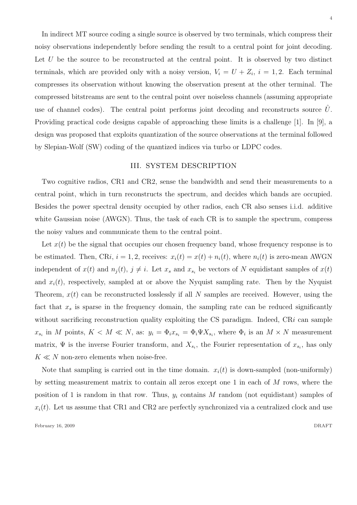In indirect MT source coding a single source is observed by two terminals, which compress their noisy observations independently before sending the result to a central point for joint decoding. Let  $U$  be the source to be reconstructed at the central point. It is observed by two distinct terminals, which are provided only with a noisy version,  $V_i = U + Z_i$ ,  $i = 1, 2$ . Each terminal compresses its observation without knowing the observation present at the other terminal. The compressed bitstreams are sent to the central point over noiseless channels (assuming appropriate use of channel codes). The central point performs joint decoding and reconstructs source  $\hat{U}$ . Providing practical code designs capable of approaching these limits is a challenge [1]. In [9], a design was proposed that exploits quantization of the source observations at the terminal followed by Slepian-Wolf (SW) coding of the quantized indices via turbo or LDPC codes.

## III. SYSTEM DESCRIPTION

Two cognitive radios, CR1 and CR2, sense the bandwidth and send their measurements to a central point, which in turn reconstructs the spectrum, and decides which bands are occupied. Besides the power spectral density occupied by other radios, each CR also senses i.i.d. additive white Gaussian noise (AWGN). Thus, the task of each CR is to sample the spectrum, compress the noisy values and communicate them to the central point.

Let  $x(t)$  be the signal that occupies our chosen frequency band, whose frequency response is to be estimated. Then, CRi,  $i = 1, 2$ , receives:  $x_i(t) = x(t) + n_i(t)$ , where  $n_i(t)$  is zero-mean AWGN independent of  $x(t)$  and  $n_j(t)$ ,  $j \neq i$ . Let  $x_s$  and  $x_{s_i}$  be vectors of N equidistant samples of  $x(t)$ and  $x_i(t)$ , respectively, sampled at or above the Nyquist sampling rate. Then by the Nyquist Theorem,  $x(t)$  can be reconstructed losslessly if all N samples are received. However, using the fact that  $x_s$  is sparse in the frequency domain, the sampling rate can be reduced significantly without sacrificing reconstruction quality exploiting the CS paradigm. Indeed,  $CRi$  can sample  $x_{s_i}$  in M points,  $K < M \ll N$ , as:  $y_i = \Phi_i x_{s_i} = \Phi_i \Psi X_{s_i}$ , where  $\Phi_i$  is an  $M \times N$  measurement matrix,  $\Psi$  is the inverse Fourier transform, and  $X_{s_i}$ , the Fourier representation of  $x_{s_i}$ , has only  $K \ll N$  non-zero elements when noise-free.

Note that sampling is carried out in the time domain.  $x_i(t)$  is down-sampled (non-uniformly) by setting measurement matrix to contain all zeros except one 1 in each of M rows, where the position of 1 is random in that row. Thus,  $y_i$  contains M random (not equidistant) samples of  $x_i(t)$ . Let us assume that CR1 and CR2 are perfectly synchronized via a centralized clock and use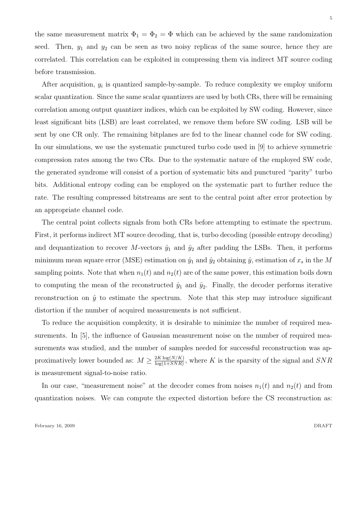the same measurement matrix  $\Phi_1 = \Phi_2 = \Phi$  which can be achieved by the same randomization seed. Then,  $y_1$  and  $y_2$  can be seen as two noisy replicas of the same source, hence they are correlated. This correlation can be exploited in compressing them via indirect MT source coding before transmission.

After acquisition,  $y_i$  is quantized sample-by-sample. To reduce complexity we employ uniform scalar quantization. Since the same scalar quantizers are used by both CRs, there will be remaining correlation among output quantizer indices, which can be exploited by SW coding. However, since least significant bits (LSB) are least correlated, we remove them before SW coding. LSB will be sent by one CR only. The remaining bitplanes are fed to the linear channel code for SW coding. In our simulations, we use the systematic punctured turbo code used in [9] to achieve symmetric compression rates among the two CRs. Due to the systematic nature of the employed SW code, the generated syndrome will consist of a portion of systematic bits and punctured "parity" turbo bits. Additional entropy coding can be employed on the systematic part to further reduce the rate. The resulting compressed bitstreams are sent to the central point after error protection by an appropriate channel code.

The central point collects signals from both CRs before attempting to estimate the spectrum. First, it performs indirect MT source decoding, that is, turbo decoding (possible entropy decoding) and dequantization to recover M-vectors  $\hat{y}_1$  and  $\hat{y}_2$  after padding the LSBs. Then, it performs minimum mean square error (MSE) estimation on  $\hat{y}_1$  and  $\hat{y}_2$  obtaining  $\hat{y}$ , estimation of  $x_s$  in the M sampling points. Note that when  $n_1(t)$  and  $n_2(t)$  are of the same power, this estimation boils down to computing the mean of the reconstructed  $\hat{y}_1$  and  $\hat{y}_2$ . Finally, the decoder performs iterative reconstruction on  $\hat{y}$  to estimate the spectrum. Note that this step may introduce significant distortion if the number of acquired measurements is not sufficient.

To reduce the acquisition complexity, it is desirable to minimize the number of required measurements. In [5], the influence of Gaussian measurement noise on the number of required measurements was studied, and the number of samples needed for successful reconstruction was approximatively lower bounded as:  $M \geq \frac{2K \log(N/K)}{\log(1+SNR)}$  $\frac{2K \log(N/K)}{\log(1+SNR)}$ , where K is the sparsity of the signal and  $SNR$ is measurement signal-to-noise ratio.

In our case, "measurement noise" at the decoder comes from noises  $n_1(t)$  and  $n_2(t)$  and from quantization noises. We can compute the expected distortion before the CS reconstruction as: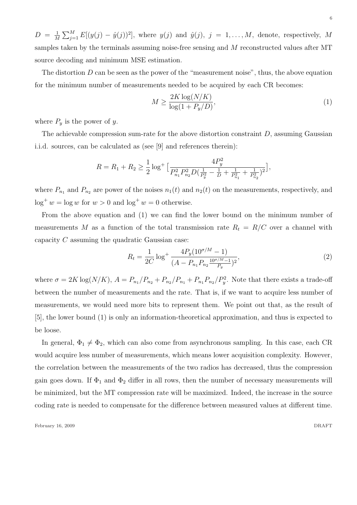$D = \frac{1}{N}$ M  $\sum_{j=1}^{M} E[(y(j) - \hat{y}(j))^2]$ , where  $y(j)$  and  $\hat{y}(j)$ ,  $j = 1, ..., M$ , denote, respectively, M samples taken by the terminals assuming noise-free sensing and M reconstructed values after MT source decoding and minimum MSE estimation.

The distortion  $D$  can be seen as the power of the "measurement noise", thus, the above equation for the minimum number of measurements needed to be acquired by each CR becomes:

$$
M \ge \frac{2K \log(N/K)}{\log(1 + P_y/D)},\tag{1}
$$

where  $P_y$  is the power of y.

The achievable compression sum-rate for the above distortion constraint  $D$ , assuming Gaussian i.i.d. sources, can be calculated as (see [9] and references therein):

$$
R = R_1 + R_2 \ge \frac{1}{2} \log^+ \left[ \frac{4P_y^2}{P_{n_1}^2 P_{n_2}^2 D \left( \frac{1}{P_y^2} - \frac{1}{D} + \frac{1}{P_{n_1}^2} + \frac{1}{P_{n_2}^2} \right)^2} \right],
$$

where  $P_{n_1}$  and  $P_{n_2}$  are power of the noises  $n_1(t)$  and  $n_2(t)$  on the measurements, respectively, and  $\log^+ w = \log w$  for  $w > 0$  and  $\log^+ w = 0$  otherwise.

From the above equation and (1) we can find the lower bound on the minimum number of measurements M as a function of the total transmission rate  $R_t = R/C$  over a channel with capacity C assuming the quadratic Gaussian case:

$$
R_t = \frac{1}{2C} \log^+ \frac{4P_y(10^{\sigma/M} - 1)}{(A - P_{n_1} P_{n_2} \frac{10^{\sigma/M} - 1}{P_y})^2},\tag{2}
$$

where  $\sigma = 2K \log(N/K)$ ,  $A = P_{n_1}/P_{n_2} + P_{n_2}/P_{n_1} + P_{n_1}P_{n_2}/P_y^2$ . Note that there exists a trade-off between the number of measurements and the rate. That is, if we want to acquire less number of measurements, we would need more bits to represent them. We point out that, as the result of [5], the lower bound (1) is only an information-theoretical approximation, and thus is expected to be loose.

In general,  $\Phi_1 \neq \Phi_2$ , which can also come from asynchronous sampling. In this case, each CR would acquire less number of measurements, which means lower acquisition complexity. However, the correlation between the measurements of the two radios has decreased, thus the compression gain goes down. If  $\Phi_1$  and  $\Phi_2$  differ in all rows, then the number of necessary measurements will be minimized, but the MT compression rate will be maximized. Indeed, the increase in the source coding rate is needed to compensate for the difference between measured values at different time.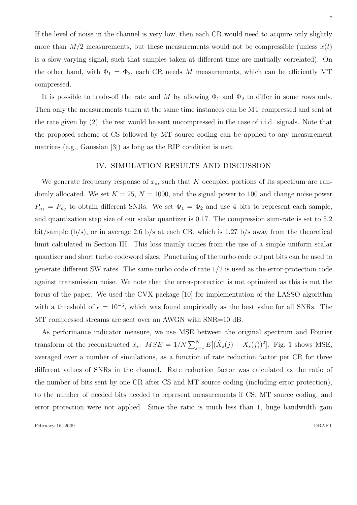If the level of noise in the channel is very low, then each CR would need to acquire only slightly more than  $M/2$  measurements, but these measurements would not be compressible (unless  $x(t)$ ) is a slow-varying signal, such that samples taken at different time are mutually correlated). On the other hand, with  $\Phi_1 = \Phi_2$ , each CR needs M measurements, which can be efficiently MT compressed.

It is possible to trade-off the rate and M by allowing  $\Phi_1$  and  $\Phi_2$  to differ in some rows only. Then only the measurements taken at the same time instances can be MT compressed and sent at the rate given by (2); the rest would be sent uncompressed in the case of i.i.d. signals. Note that the proposed scheme of CS followed by MT source coding can be applied to any measurement matrices (e.g., Gaussian [3]) as long as the RIP condition is met.

#### IV. SIMULATION RESULTS AND DISCUSSION

We generate frequency response of  $x_s$ , such that K occupied portions of its spectrum are randomly allocated. We set  $K = 25$ ,  $N = 1000$ , and the signal power to 100 and change noise power  $P_{n_1} = P_{n_2}$  to obtain different SNRs. We set  $\Phi_1 = \Phi_2$  and use 4 bits to represent each sample, and quantization step size of our scalar quantizer is 0.17. The compression sum-rate is set to 5.2 bit/sample  $(b/s)$ , or in average 2.6 b/s at each CR, which is 1.27 b/s away from the theoretical limit calculated in Section III. This loss mainly comes from the use of a simple uniform scalar quantizer and short turbo codeword sizes. Puncturing of the turbo code output bits can be used to generate different SW rates. The same turbo code of rate 1/2 is used as the error-protection code against transmission noise. We note that the error-protection is not optimized as this is not the focus of the paper. We used the CVX package [10] for implementation of the LASSO algorithm with a threshold of  $\epsilon = 10^{-5}$ , which was found empirically as the best value for all SNRs. The MT compressed streams are sent over an AWGN with SNR=10 dB.

As performance indicator measure, we use MSE between the original spectrum and Fourier transform of the reconstructed  $\hat{x}_s$ :  $MSE = 1/N \sum_{j=1}^{N} E[(\hat{X}_s(j) - X_s(j))^2]$ . Fig. 1 shows MSE, averaged over a number of simulations, as a function of rate reduction factor per CR for three different values of SNRs in the channel. Rate reduction factor was calculated as the ratio of the number of bits sent by one CR after CS and MT source coding (including error protection), to the number of needed bits needed to represent measurements if CS, MT source coding, and error protection were not applied. Since the ratio is much less than 1, huge bandwidth gain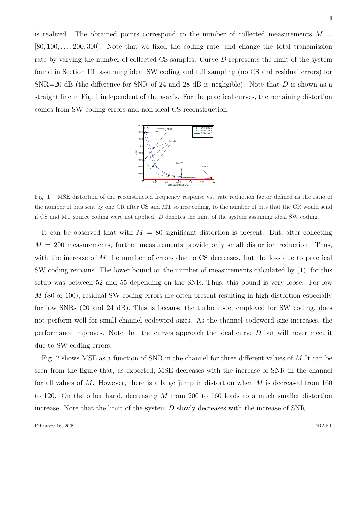is realized. The obtained points correspond to the number of collected measurements  $M =$  $[80, 100, \ldots, 200, 300]$ . Note that we fixed the coding rate, and change the total transmission rate by varying the number of collected CS samples. Curve D represents the limit of the system found in Section III, assuming ideal SW coding and full sampling (no CS and residual errors) for  $SNR=20$  dB (the difference for SNR of 24 and 28 dB is negligible). Note that D is shown as a straight line in Fig. 1 independent of the x-axis. For the practical curves, the remaining distortion comes from SW coding errors and non-ideal CS reconstruction.



Fig. 1. MSE distortion of the reconstructed frequency response vs. rate reduction factor defined as the ratio of the number of bits sent by one CR after CS and MT source coding, to the number of bits that the CR would send if CS and MT source coding were not applied. D denotes the limit of the system assuming ideal SW coding.

It can be observed that with  $M = 80$  significant distortion is present. But, after collecting  $M = 200$  measurements, further measurements provide only small distortion reduction. Thus, with the increase of M the number of errors due to CS decreases, but the loss due to practical SW coding remains. The lower bound on the number of measurements calculated by (1), for this setup was between 52 and 55 depending on the SNR. Thus, this bound is very loose. For low M (80 or 100), residual SW coding errors are often present resulting in high distortion especially for low SNRs (20 and 24 dB). This is because the turbo code, employed for SW coding, does not perform well for small channel codeword sizes. As the channel codeword size increases, the performance improves. Note that the curves approach the ideal curve D but will never meet it due to SW coding errors.

Fig. 2 shows MSE as a function of SNR in the channel for three different values of M It can be seen from the figure that, as expected, MSE decreases with the increase of SNR in the channel for all values of  $M$ . However, there is a large jump in distortion when  $M$  is decreased from 160 to 120. On the other hand, decreasing M from 200 to 160 leads to a much smaller distortion increase. Note that the limit of the system  $D$  slowly decreases with the increase of SNR.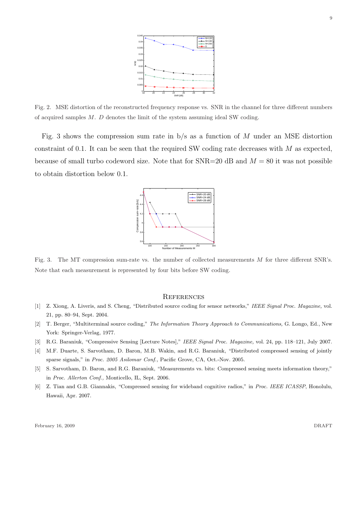

Fig. 2. MSE distortion of the reconstructed frequency response vs. SNR in the channel for three different numbers of acquired samples  $M$ .  $D$  denotes the limit of the system assuming ideal SW coding.

Fig. 3 shows the compression sum rate in  $b/s$  as a function of M under an MSE distortion constraint of 0.1. It can be seen that the required SW coding rate decreases with M as expected, because of small turbo codeword size. Note that for  $SNR=20$  dB and  $M = 80$  it was not possible to obtain distortion below 0.1.



Fig. 3. The MT compression sum-rate vs. the number of collected measurements  $M$  for three different SNR's. Note that each measurement is represented by four bits before SW coding.

#### **REFERENCES**

- [1] Z. Xiong, A. Liveris, and S. Cheng, "Distributed source coding for sensor networks," IEEE Signal Proc. Magazine, vol. 21, pp. 80–94, Sept. 2004.
- [2] T. Berger, "Multiterminal source coding," The Information Theory Approach to Communications, G. Longo, Ed., New York: Springer-Verlag, 1977.
- [3] R.G. Baraniuk, "Compressive Sensing [Lecture Notes]," IEEE Signal Proc. Magazine, vol. 24, pp. 118–121, July 2007.
- [4] M.F. Duarte, S. Sarvotham, D. Baron, M.B. Wakin, and R.G. Baraniuk, "Distributed compressed sensing of jointly sparse signals," in Proc. 2005 Asilomar Conf., Pacific Grove, CA, Oct.-Nov. 2005.
- [5] S. Sarvotham, D. Baron, and R.G. Baraniuk, "Measurements vs. bits: Compressed sensing meets information theory," in Proc. Allerton Conf., Monticello, IL, Sept. 2006.
- [6] Z. Tian and G.B. Giannakis, "Compressed sensing for wideband cognitive radios," in Proc. IEEE ICASSP, Honolulu, Hawaii, Apr. 2007.